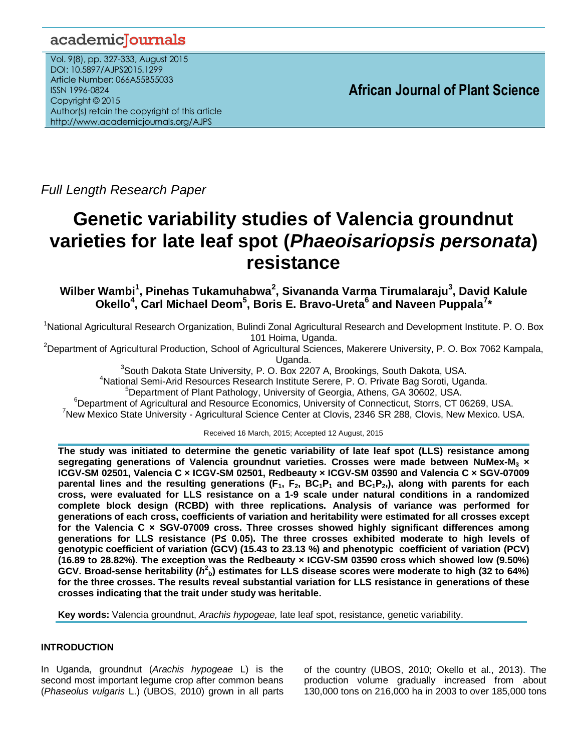## academicJournals

Vol. 9(8), pp. 327-333, August 2015 DOI: 10.5897/AJPS2015.1299 Article Number: 066A55B55033 ISSN 1996-0824 Copyright © 2015 Author(s) retain the copyright of this article http://www.academicjournals.org/AJPS

*Full Length Research Paper*

# **Genetic variability studies of Valencia groundnut varieties for late leaf spot (***Phaeoisariopsis personata***) resistance**

**Wilber Wambi<sup>1</sup> , Pinehas Tukamuhabwa<sup>2</sup> , Sivananda Varma Tirumalaraju<sup>3</sup> , David Kalule Okello<sup>4</sup> , Carl Michael Deom<sup>5</sup> , Boris E. Bravo-Ureta<sup>6</sup> and Naveen Puppala<sup>7</sup> \*** 

<sup>1</sup>National Agricultural Research Organization, Bulindi Zonal Agricultural Research and Development Institute. P. O. Box 101 Hoima, Uganda.

<sup>2</sup>Department of Agricultural Production, School of Agricultural Sciences, Makerere University, P. O. Box 7062 Kampala,

Uganda.

<sup>3</sup>South Dakota State University, P. O. Box 2207 A, Brookings, South Dakota, USA.

<sup>4</sup>National Semi-Arid Resources Research Institute Serere, P. O. Private Bag Soroti, Uganda.

<sup>5</sup>Department of Plant Pathology, University of Georgia, Athens, GA 30602, USA.

<sup>6</sup>Department of Agricultural and Resource Economics, University of Connecticut, Storrs, CT 06269, USA.

<sup>7</sup>New Mexico State University - Agricultural Science Center at Clovis, 2346 SR 288, Clovis, New Mexico. USA.

Received 16 March, 2015; Accepted 12 August, 2015

**The study was initiated to determine the genetic variability of late leaf spot (LLS) resistance among segregating generations of Valencia groundnut varieties. Crosses were made between NuMex-M<sup>3</sup> × ICGV-SM 02501, Valencia C × ICGV-SM 02501, Redbeauty × ICGV-SM 03590 and Valencia C × SGV-07009 parental lines and the resulting generations (F1, F2, BC1P<sup>1</sup> and BC1P2,), along with parents for each cross, were evaluated for LLS resistance on a 1-9 scale under natural conditions in a randomized complete block design (RCBD) with three replications. Analysis of variance was performed for generations of each cross, coefficients of variation and heritability were estimated for all crosses except for the Valencia C × SGV-07009 cross. Three crosses showed highly significant differences among generations for LLS resistance (P≤ 0.05). The three crosses exhibited moderate to high levels of genotypic coefficient of variation (GCV) (15.43 to 23.13 %) and phenotypic coefficient of variation (PCV) (16.89 to 28.82%). The exception was the Redbeauty × ICGV-SM 03590 cross which showed low (9.50%)**   $GCV.$  Broad-sense heritability ( $h^2_{\ b}$ ) estimates for LLS disease scores were moderate to high (32 to 64%) **for the three crosses. The results reveal substantial variation for LLS resistance in generations of these crosses indicating that the trait under study was heritable.**

**Key words:** Valencia groundnut, *Arachis hypogeae,* late leaf spot, resistance, genetic variability.

## **INTRODUCTION**

In Uganda, groundnut (*Arachis hypogeae* L) is the second most important legume crop after common beans (*Phaseolus vulgaris* L.) (UBOS, 2010) grown in all parts of the country (UBOS, 2010; Okello et al., 2013). The production volume gradually increased from about 130,000 tons on 216,000 ha in 2003 to over 185,000 tons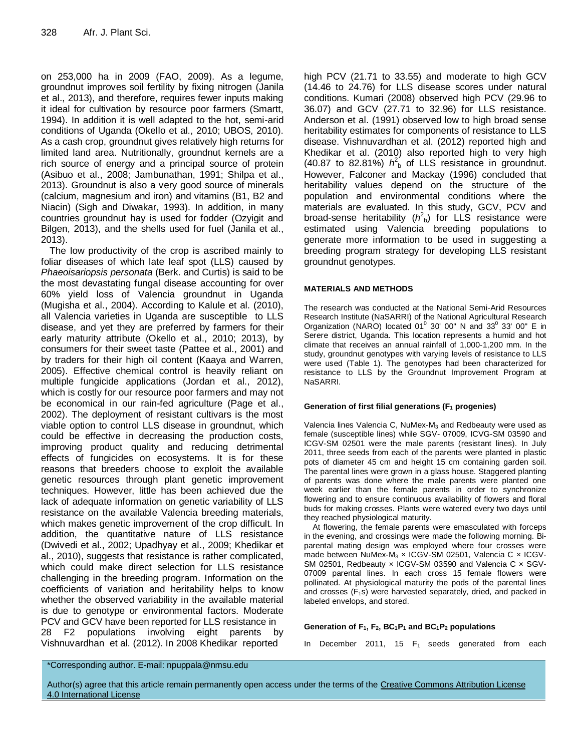on 253,000 ha in 2009 (FAO, 2009). As a legume, groundnut improves soil fertility by fixing nitrogen (Janila et al., 2013), and therefore, requires fewer inputs making it ideal for cultivation by resource poor farmers (Smartt, 1994). In addition it is well adapted to the hot, semi-arid conditions of Uganda (Okello et al., 2010; UBOS, 2010). As a cash crop, groundnut gives relatively high returns for limited land area. Nutritionally, groundnut kernels are a rich source of energy and a principal source of protein (Asibuo et al., 2008; Jambunathan, 1991; Shilpa et al., 2013). Groundnut is also a very good source of minerals (calcium, magnesium and iron) and vitamins (B1, B2 and Niacin) (Sigh and Diwakar, 1993). In addition, in many countries groundnut hay is used for fodder (Ozyigit and Bilgen, 2013), and the shells used for fuel (Janila et al., 2013).

The low productivity of the crop is ascribed mainly to foliar diseases of which late leaf spot (LLS) caused by *Phaeoisariopsis personata* (Berk. and Curtis) is said to be the most devastating fungal disease accounting for over 60% yield loss of Valencia groundnut in Uganda (Mugisha et al., 2004). According to Kalule et al. (2010), all Valencia varieties in Uganda are susceptible to LLS disease, and yet they are preferred by farmers for their early maturity attribute (Okello et al., 2010; 2013), by consumers for their sweet taste (Pattee et al., 2001) and by traders for their high oil content (Kaaya and Warren, 2005). Effective chemical control is heavily reliant on multiple fungicide applications (Jordan et al., 2012), which is costly for our resource poor farmers and may not be economical in our rain-fed agriculture (Page et al., 2002). The deployment of resistant cultivars is the most viable option to control LLS disease in groundnut, which could be effective in decreasing the production costs, improving product quality and reducing detrimental effects of fungicides on ecosystems. It is for these reasons that breeders choose to exploit the available genetic resources through plant genetic improvement techniques. However, little has been achieved due the lack of adequate information on genetic variability of LLS resistance on the available Valencia breeding materials, which makes genetic improvement of the crop difficult. In addition, the quantitative nature of LLS resistance (Dwivedi et al., 2002; Upadhyay et al., 2009; Khedikar et al., 2010), suggests that resistance is rather complicated, which could make direct selection for LLS resistance challenging in the breeding program. Information on the coefficients of variation and heritability helps to know whether the observed variability in the available material is due to genotype or environmental factors. Moderate PCV and GCV have been reported for LLS resistance in 28 F2 populations involving eight parents by Vishnuvardhan et al. (2012). In 2008 Khedikar reported

high PCV (21.71 to 33.55) and moderate to high GCV (14.46 to 24.76) for LLS disease scores under natural conditions. Kumari (2008) observed high PCV (29.96 to 36.07) and GCV (27.71 to 32.96) for LLS resistance. Anderson et al. (1991) observed low to high broad sense heritability estimates for components of resistance to LLS disease. Vishnuvardhan et al. (2012) reported high and Khedikar et al. (2010) also reported high to very high (40.87 to 82.81%)  $h_6^2$  of LLS resistance in groundnut. However, Falconer and Mackay (1996) concluded that heritability values depend on the structure of the population and environmental conditions where the materials are evaluated. In this study, GCV, PCV and broad-sense heritability ( $h<sup>2</sup>$ <sub>b</sub>) for LLS resistance were estimated using Valencia breeding populations to generate more information to be used in suggesting a breeding program strategy for developing LLS resistant groundnut genotypes.

#### **MATERIALS AND METHODS**

The research was conducted at the National Semi-Arid Resources Research Institute (NaSARRI) of the National Agricultural Research Organization (NARO) located  $01^0$  30' 00" N and 33 $^0$  33' 00" E in Serere district, Uganda. This location represents a humid and hot climate that receives an annual rainfall of 1,000-1,200 mm. In the study, groundnut genotypes with varying levels of resistance to LLS were used (Table 1). The genotypes had been characterized for resistance to LLS by the Groundnut Improvement Program at NaSARRI.

#### **Generation of first filial generations (F<sup>1</sup> progenies)**

Valencia lines Valencia C, NuMex-M<sup>3</sup> and Redbeauty were used as female (susceptible lines) while SGV- 07009, ICVG-SM 03590 and ICGV-SM 02501 were the male parents (resistant lines). In July 2011, three seeds from each of the parents were planted in plastic pots of diameter 45 cm and height 15 cm containing garden soil. The parental lines were grown in a glass house. Staggered planting of parents was done where the male parents were planted one week earlier than the female parents in order to synchronize flowering and to ensure continuous availability of flowers and floral buds for making crosses. Plants were watered every two days until they reached physiological maturity.

At flowering, the female parents were emasculated with forceps in the evening, and crossings were made the following morning. Biparental mating design was employed where four crosses were made between NuMex-M<sub>3</sub>  $\times$  ICGV-SM 02501, Valencia C  $\times$  ICGV-SM 02501, Redbeauty x ICGV-SM 03590 and Valencia C x SGV-07009 parental lines. In each cross 15 female flowers were pollinated. At physiological maturity the pods of the parental lines and crosses  $(F_1s)$  were harvested separately, dried, and packed in labeled envelops, and stored.

#### **Generation of F1, F2, BC1P<sup>1</sup> and BC1P<sup>2</sup> populations**

In December 2011, 15  $F_1$  seeds generated from each

\*Corresponding author. E-mail: npuppala@nmsu.edu

Author(s) agree that this article remain permanently open access under the terms of the Creative Commons Attribution License [4.0 International License](http://creativecommons.org/licenses/by/4.0/deed.en_US)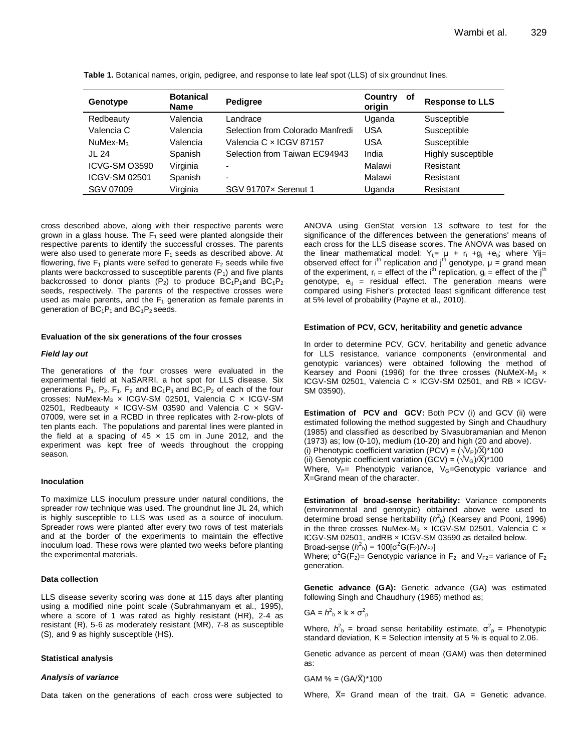| Genotype                | <b>Botanical</b><br><b>Name</b> | <b>Pedigree</b>                  | Country<br>οf<br>origin | <b>Response to LLS</b> |
|-------------------------|---------------------------------|----------------------------------|-------------------------|------------------------|
| Redbeauty               | Valencia                        | Landrace                         | Uganda                  | Susceptible            |
| Valencia C              | Valencia                        | Selection from Colorado Manfredi | <b>USA</b>              | Susceptible            |
| $Nu$ Mex-M <sub>3</sub> | Valencia                        | Valencia C × ICGV 87157          | USA                     | Susceptible            |
| JL 24                   | Spanish                         | Selection from Taiwan EC94943    | India                   | Highly susceptible     |
| ICVG-SM O3590           | Virginia                        | $\overline{\phantom{0}}$         | Malawi                  | Resistant              |
| ICGV-SM 02501           | Spanish                         | $\overline{\phantom{0}}$         | Malawi                  | Resistant              |
| SGV 07009               | Virginia                        | SGV 91707x Serenut 1             | Uganda                  | Resistant              |

**Table 1.** Botanical names, origin, pedigree, and response to late leaf spot (LLS) of six groundnut lines.

cross described above, along with their respective parents were grown in a glass house. The  $F_1$  seed were planted alongside their respective parents to identify the successful crosses. The parents were also used to generate more  $F_1$  seeds as described above. At flowering, five  $F_1$  plants were selfed to generate  $F_2$  seeds while five plants were backcrossed to susceptible parents  $(P_1)$  and five plants backcrossed to donor plants (P<sub>2</sub>) to produce  $BC_1P_1$ and  $BC_1P_2$ seeds, respectively. The parents of the respective crosses were used as male parents, and the  $F_1$  generation as female parents in generation of  $BC_1P_1$  and  $BC_1P_2$  seeds.

#### **Evaluation of the six generations of the four crosses**

#### *Field lay out*

The generations of the four crosses were evaluated in the experimental field at NaSARRI, a hot spot for LLS disease. Six generations  $P_1$ ,  $P_2$ ,  $F_1$ ,  $F_2$  and  $BC_1P_1$  and  $BC_1P_2$  of each of the four crosses: NuMex-M<sub>3</sub> x ICGV-SM 02501, Valencia C x ICGV-SM 02501, Redbeauty x ICGV-SM 03590 and Valencia C x SGV-07009, were set in a RCBD in three replicates with 2-row-plots of ten plants each. The populations and parental lines were planted in the field at a spacing of  $45 \times 15$  cm in June 2012, and the experiment was kept free of weeds throughout the cropping season.

#### **Inoculation**

To maximize LLS inoculum pressure under natural conditions, the spreader row technique was used. The groundnut line JL 24, which is highly susceptible to LLS was used as a source of inoculum. Spreader rows were planted after every two rows of test materials and at the border of the experiments to maintain the effective inoculum load. These rows were planted two weeks before planting the experimental materials.

#### **Data collection**

LLS disease severity scoring was done at 115 days after planting using a modified nine point scale (Subrahmanyam et al., 1995), where a score of 1 was rated as highly resistant (HR), 2-4 as resistant (R), 5-6 as moderately resistant (MR), 7-8 as susceptible (S), and 9 as highly susceptible (HS).

#### **Statistical analysis**

#### *Analysis of variance*

Data taken on the generations of each cross were subjected to

ANOVA using GenStat version 13 software to test for the significance of the differences between the generations' means of each cross for the LLS disease scores. The ANOVA was based on the linear mathematical model:  $Y_{ij} = \mu + r_i + g_j + e_{ij}$ ; where Yij= observed effect for  $i<sup>th</sup>$  replication and  $j<sup>th</sup>$  genotype,  $\mu$  = grand mean of the experiment,  $r_i$  = effect of the i<sup>th</sup> replication,  $q_i$  = effect of the j<sup>th</sup> genotype,  $e_{ij}$  = residual effect. The generation means were compared using Fisher's protected least significant difference test at 5% level of probability (Payne et al., 2010).

#### **Estimation of PCV, GCV, heritability and genetic advance**

In order to determine PCV, GCV, heritability and genetic advance for LLS resistance, variance components (environmental and genotypic variances) were obtained following the method of Kearsey and Pooni (1996) for the three crosses (NuMeX-M<sub>3</sub>  $\times$ ICGV-SM 02501, Valencia C × ICGV-SM 02501, and RB × ICGV-SM 03590).

**Estimation of PCV and GCV:** Both PCV (i) and GCV (ii) were estimated following the method suggested by Singh and Chaudhury (1985) and classified as described by Sivasubramanian and Menon (1973) as; low (0-10), medium (10-20) and high (20 and above). (i) Phenotypic coefficient variation (PCV) =  $(\sqrt{V_P})/\overline{X}$ <sup>\*</sup>100 (ii) Genotypic coefficient variation (GCV) =  $(\sqrt{V_G})/\overline{X}$  \*100 Where,  $V_P=$  Phenotypic variance,  $V_G=$ Genotypic variance and  $\overline{X}$ =Grand mean of the character.

**Estimation of broad-sense heritability:** Variance components (environmental and genotypic) obtained above were used to determine broad sense heritability  $(h<sup>2</sup><sub>b</sub>)$  (Kearsey and Pooni, 1996) in the three crosses NuMex-M<sub>3</sub>  $\times$  ICGV-SM 02501, Valencia C  $\times$ ICGV-SM 02501, andRB × ICGV-SM 03590 as detailed below. Broad-sense ( $h^2$ <sub>b</sub>) = 100[σ<sup>2</sup>G(F<sub>2</sub>)/V<sub>F2</sub>]

Where;  $\sigma^2 G(F_2)$ = Genotypic variance in F<sub>2</sub> and V<sub>F2</sub>= variance of F<sub>2</sub> generation.

**Genetic advance (GA):** Genetic advance (GA) was estimated following Singh and Chaudhury (1985) method as;

$$
GA = h^2{}_{b} \times k \times \sigma^2{}_{p}
$$

Where,  $h^2$ <sub>b</sub> = broad sense heritability estimate,  $\sigma^2$ <sub>p</sub> = Phenotypic standard deviation,  $K =$  Selection intensity at 5 % is equal to 2.06.

Genetic advance as percent of mean (GAM) was then determined as:

 $GAM % = (GA/\overline{X})*100$ 

Where,  $\bar{X}$  – Grand mean of the trait, GA = Genetic advance.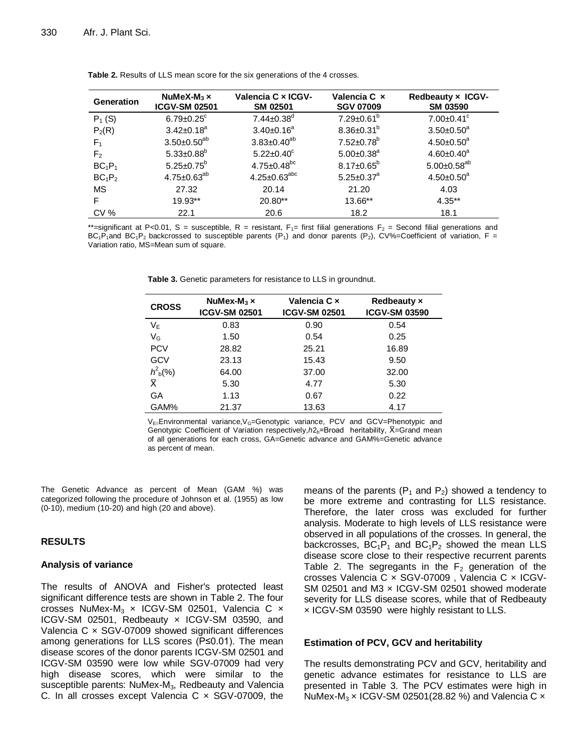| <b>Generation</b>              | NuMeX-M <sub>3</sub> $\times$<br><b>ICGV-SM 02501</b> | Valencia C x ICGV-<br><b>SM 02501</b> | Valencia C x<br><b>SGV 07009</b> | Redbeauty x ICGV-<br><b>SM 03590</b> |
|--------------------------------|-------------------------------------------------------|---------------------------------------|----------------------------------|--------------------------------------|
| $P_1(S)$                       | $6.79 \pm 0.25$ <sup>c</sup>                          | $7.44 \pm 0.38$ <sup>d</sup>          | $7.29 \pm 0.61^b$                | $7.00 \pm 0.41$ <sup>c</sup>         |
| $P_2(R)$                       | $3.42 \pm 0.18^a$                                     | $3.40 \pm 0.16^a$                     | $8.36 \pm 0.31^b$                | $3.50 \pm 0.50^a$                    |
| F <sub>1</sub>                 | $3.50 \pm 0.50^{ab}$                                  | $3.83 \pm 0.40^{ab}$                  | $7.52 \pm 0.78$ <sup>b</sup>     | $4.50 \pm 0.50^a$                    |
| F <sub>2</sub>                 | $5.33 \pm 0.88$ <sup>b</sup>                          | $5.22 \pm 0.40^c$                     | $5.00 \pm 0.38$ <sup>a</sup>     | $4.60 \pm 0.40^a$                    |
| $BC_1P_1$                      | $5.25 \pm 0.75^b$                                     | $4.75 \pm 0.48$ <sup>bc</sup>         | $8.17 \pm 0.65^b$                | $5.00 \pm 0.58$ <sup>ab</sup>        |
| BC <sub>1</sub> P <sub>2</sub> | $4.75 \pm 0.63^{ab}$                                  | $4.25 \pm 0.63^{abc}$                 | $5.25 \pm 0.37$ <sup>a</sup>     | $4.50 \pm 0.50^a$                    |
| <b>MS</b>                      | 27.32                                                 | 20.14                                 | 21.20                            | 4.03                                 |
| F                              | 19.93**                                               | 20.80**                               | 13.66**                          | $4.35***$                            |
| <b>CV %</b>                    | 22.1                                                  | 20.6                                  | 18.2                             | 18.1                                 |

**Table 2.** Results of LLS mean score for the six generations of the 4 crosses.

\*\*=significant at P<0.01, S = susceptible, R = resistant,  $F_1$ = first filial generations  $F_2$  = Second filial generations and  $BC_1P_1$ and  $BC_1P_2$  backcrossed to susceptible parents  $(P_1)$  and donor parents  $(P_2)$ , CV%=Coefficient of variation, F = Variation ratio, MS=Mean sum of square.

**Table 3.** Genetic parameters for resistance to LLS in groundnut.

| <b>CROSS</b>      | NuMex-M <sub>3</sub> $\times$<br><b>ICGV-SM 02501</b> | Valencia C x<br><b>ICGV-SM 02501</b> | <b>Redbeauty x</b><br><b>ICGV-SM 03590</b> |
|-------------------|-------------------------------------------------------|--------------------------------------|--------------------------------------------|
| $V_{E}$           | 0.83                                                  | 0.90                                 | 0.54                                       |
| $V_G$             | 1.50                                                  | 0.54                                 | 0.25                                       |
| <b>PCV</b>        | 28.82                                                 | 25.21                                | 16.89                                      |
| GCV               | 23.13                                                 | 15.43                                | 9.50                                       |
| $h^2_{\rm b}(\%)$ | 64.00                                                 | 37.00                                | 32.00                                      |
| X                 | 5.30                                                  | 4.77                                 | 5.30                                       |
| GA                | 1.13                                                  | 0.67                                 | 0.22                                       |
| GAM%              | 21.37                                                 | 13.63                                | 4.17                                       |

V<sub>E=</sub>Environmental variance, V<sub>G</sub>=Genotypic variance, PCV and GCV=Phenotypic and Genotypic Coefficient of Variation respectively,  $h2_b$ = Broad heritability,  $\bar{X}$ = Grand mean of all generations for each cross, GA=Genetic advance and GAM%=Genetic advance as percent of mean.

The Genetic Advance as percent of Mean (GAM %) was categorized following the procedure of Johnson et al. (1955) as low (0-10), medium (10-20) and high (20 and above).

### **RESULTS**

#### **Analysis of variance**

The results of ANOVA and Fisher's protected least significant difference tests are shown in Table 2. The four crosses NuMex-M<sub>3</sub>  $\times$  ICGV-SM 02501, Valencia C  $\times$ ICGV-SM 02501, Redbeauty x ICGV-SM 03590, and Valencia  $C \times$  SGV-07009 showed significant differences among generations for LLS scores (P≤0.01). The mean disease scores of the donor parents ICGV-SM 02501 and ICGV-SM 03590 were low while SGV-07009 had very high disease scores, which were similar to the susceptible parents: NuMex-M<sub>3</sub>, Redbeauty and Valencia C. In all crosses except Valencia  $C \times SGV-07009$ , the means of the parents ( $P_1$  and  $P_2$ ) showed a tendency to be more extreme and contrasting for LLS resistance. Therefore, the later cross was excluded for further analysis. Moderate to high levels of LLS resistance were observed in all populations of the crosses. In general, the backcrosses,  $BC_1P_1$  and  $BC_1P_2$  showed the mean LLS disease score close to their respective recurrent parents Table 2. The segregants in the  $F_2$  generation of the crosses Valencia C × SGV-07009 , Valencia C × ICGV-SM 02501 and M3 x ICGV-SM 02501 showed moderate severity for LLS disease scores, while that of Redbeauty × ICGV-SM 03590 were highly resistant to LLS.

#### **Estimation of PCV, GCV and heritability**

The results demonstrating PCV and GCV, heritability and genetic advance estimates for resistance to LLS are presented in Table 3. The PCV estimates were high in NuMex-M<sub>3</sub>  $\times$  ICGV-SM 02501(28.82 %) and Valencia C  $\times$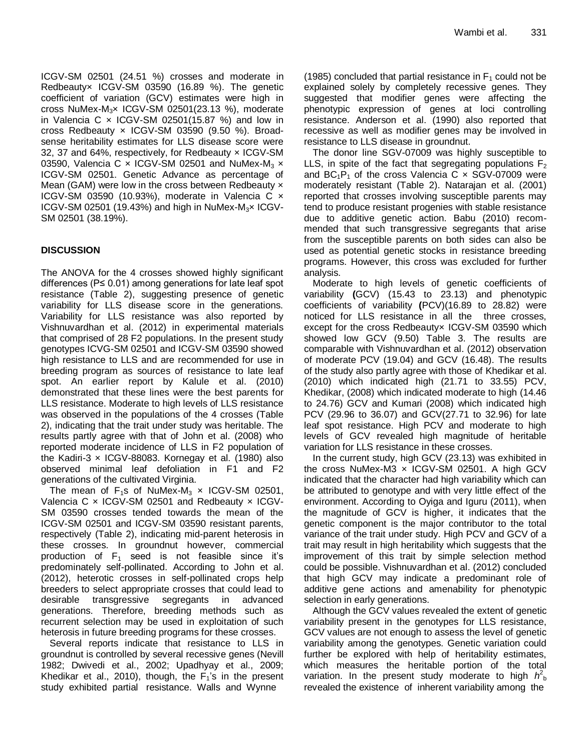ICGV-SM 02501 (24.51 %) crosses and moderate in Redbeauty× ICGV-SM 03590 (16.89 %). The genetic coefficient of variation (GCV) estimates were high in cross NuMex-M3× ICGV-SM 02501(23.13 %), moderate in Valencia C  $\times$  ICGV-SM 02501(15.87 %) and low in cross Redbeauty × ICGV-SM 03590 (9.50 %). Broadsense heritability estimates for LLS disease score were 32, 37 and 64%, respectively, for Redbeauty × ICGV-SM 03590, Valencia C  $\times$  ICGV-SM 02501 and NuMex-M<sub>3</sub>  $\times$ ICGV-SM 02501. Genetic Advance as percentage of Mean (GAM) were low in the cross between Redbeauty x ICGV-SM 03590 (10.93%), moderate in Valencia C × ICGV-SM 02501 (19.43%) and high in NuMex-M<sub>3</sub> $\times$  ICGV-SM 02501 (38.19%).

## **DISCUSSION**

The ANOVA for the 4 crosses showed highly significant differences ( $P \le 0.01$ ) among generations for late leaf spot resistance (Table 2), suggesting presence of genetic variability for LLS disease score in the generations. Variability for LLS resistance was also reported by Vishnuvardhan et al. (2012) in experimental materials that comprised of 28 F2 populations. In the present study genotypes ICVG-SM 02501 and ICGV-SM 03590 showed high resistance to LLS and are recommended for use in breeding program as sources of resistance to late leaf spot. An earlier report by Kalule et al. (2010) demonstrated that these lines were the best parents for LLS resistance. Moderate to high levels of LLS resistance was observed in the populations of the 4 crosses (Table 2), indicating that the trait under study was heritable. The results partly agree with that of John et al. (2008) who reported moderate incidence of LLS in F2 population of the Kadiri-3  $\times$  ICGV-88083. Kornegay et al. (1980) also observed minimal leaf defoliation in F1 and F2 generations of the cultivated Virginia.

The mean of  $F_1s$  of NuMex-M<sub>3</sub>  $\times$  ICGV-SM 02501, Valencia C x ICGV-SM 02501 and Redbeauty x ICGV-SM 03590 crosses tended towards the mean of the ICGV-SM 02501 and ICGV-SM 03590 resistant parents, respectively (Table 2), indicating mid-parent heterosis in these crosses. In groundnut however, commercial production of  $F_1$  seed is not feasible since it's predominately self-pollinated. According to John et al. (2012), heterotic crosses in self-pollinated crops help breeders to select appropriate crosses that could lead to desirable transgressive segregants in advanced generations. Therefore, breeding methods such as recurrent selection may be used in exploitation of such heterosis in future breeding programs for these crosses.

Several reports indicate that resistance to LLS in groundnut is controlled by several recessive genes (Nevill 1982; Dwivedi et al., 2002; Upadhyay et al., 2009; Khedikar et al., 2010), though, the  $F_1$ 's in the present study exhibited partial resistance. Walls and Wynne

(1985) concluded that partial resistance in  $F_1$  could not be explained solely by completely recessive genes. They suggested that modifier genes were affecting the phenotypic expression of genes at loci controlling resistance. Anderson et al. (1990) also reported that recessive as well as modifier genes may be involved in resistance to LLS disease in groundnut.

The donor line SGV-07009 was highly susceptible to LLS, in spite of the fact that segregating populations  $F_2$ and  $BC_1P_1$  of the cross Valencia C  $\times$  SGV-07009 were moderately resistant (Table 2). Natarajan et al. (2001) reported that crosses involving susceptible parents may tend to produce resistant progenies with stable resistance due to additive genetic action. Babu (2010) recommended that such transgressive segregants that arise from the susceptible parents on both sides can also be used as potential genetic stocks in resistance breeding programs. However, this cross was excluded for further analysis.

Moderate to high levels of genetic coefficients of variability **(**GCV) (15.43 to 23.13) and phenotypic coefficients of variability **(**PCV)(16.89 to 28.82) were noticed for LLS resistance in all the three crosses, except for the cross Redbeautyx ICGV-SM 03590 which showed low GCV (9.50) Table 3. The results are comparable with Vishnuvardhan et al. (2012) observation of moderate PCV (19.04) and GCV (16.48). The results of the study also partly agree with those of Khedikar et al. (2010) which indicated high (21.71 to 33.55) PCV, Khedikar, (2008) which indicated moderate to high (14.46 to 24.76) GCV and Kumari (2008) which indicated high PCV (29.96 to 36.07) and GCV(27.71 to 32.96) for late leaf spot resistance. High PCV and moderate to high levels of GCV revealed high magnitude of heritable variation for LLS resistance in these crosses.

In the current study, high GCV (23.13) was exhibited in the cross NuMex-M3 × ICGV-SM 02501. A high GCV indicated that the character had high variability which can be attributed to genotype and with very little effect of the environment. According to Oyiga and Iguru (2011), when the magnitude of GCV is higher, it indicates that the genetic component is the major contributor to the total variance of the trait under study. High PCV and GCV of a trait may result in high heritability which suggests that the improvement of this trait by simple selection method could be possible. Vishnuvardhan et al. (2012) concluded that high GCV may indicate a predominant role of additive gene actions and amenability for phenotypic selection in early generations.

Although the GCV values revealed the extent of genetic variability present in the genotypes for LLS resistance, GCV values are not enough to assess the level of genetic variability among the genotypes. Genetic variation could further be explored with help of heritability estimates, which measures the heritable portion of the total variation. In the present study moderate to high  $h_{\rm b}^2$ revealed the existence of inherent variability among the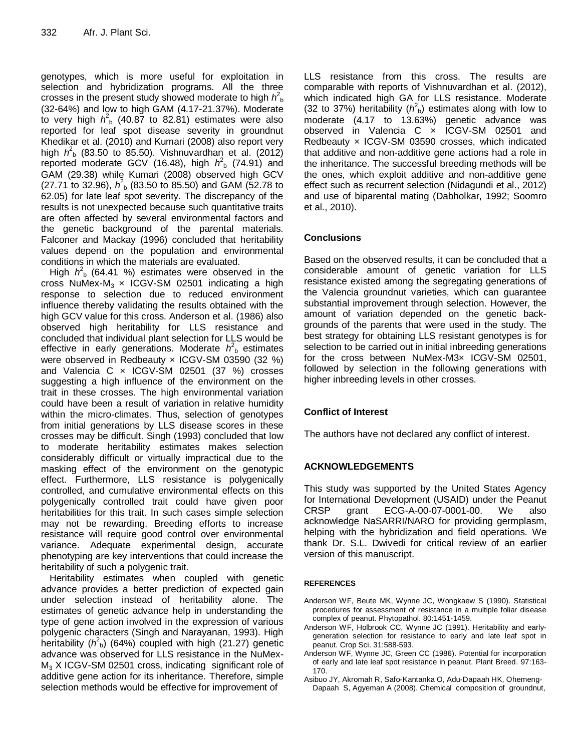genotypes, which is more useful for exploitation in selection and hybridization programs. All the three crosses in the present study showed moderate to high  $h_{\rm b}^2$ (32-64%) and low to high GAM (4.17-21.37%). Moderate to very high  $h^2$ <sub>b</sub> (40.87 to 82.81) estimates were also reported for leaf spot disease severity in groundnut Khedikar et al. (2010) and Kumari (2008) also report very high  $h^2$ <sub>b</sub> (83.50 to 85.50). Vishnuvardhan et al. (2012) reported moderate GCV (16.48), high  $h^2$ <sub>b</sub> (74.91) and GAM (29.38) while Kumari (2008) observed high GCV (27.71 to 32.96),  $h^2$ <sub>b</sub> (83.50 to 85.50) and GAM (52.78 to 62.05) for late leaf spot severity. The discrepancy of the results is not unexpected because such quantitative traits are often affected by several environmental factors and the genetic background of the parental materials. Falconer and Mackay (1996) concluded that heritability values depend on the population and environmental conditions in which the materials are evaluated.

High  $h^2$ <sub>b</sub> (64.41 %) estimates were observed in the cross NuMex-M<sub>3</sub>  $\times$  ICGV-SM 02501 indicating a high response to selection due to reduced environment influence thereby validating the results obtained with the high GCV value for this cross. Anderson et al. (1986) also observed high heritability for LLS resistance and concluded that individual plant selection for LLS would be effective in early generations. Moderate  $h<sup>2</sup><sub>b</sub>$  estimates were observed in Redbeauty × ICGV-SM 03590 (32 %) and Valencia C x ICGV-SM 02501 (37 %) crosses suggesting a high influence of the environment on the trait in these crosses. The high environmental variation could have been a result of variation in relative humidity within the micro-climates. Thus, selection of genotypes from initial generations by LLS disease scores in these crosses may be difficult. Singh (1993) concluded that low to moderate heritability estimates makes selection considerably difficult or virtually impractical due to the masking effect of the environment on the genotypic effect. Furthermore, LLS resistance is polygenically controlled, and cumulative environmental effects on this polygenically controlled trait could have given poor heritabilities for this trait. In such cases simple selection may not be rewarding. Breeding efforts to increase resistance will require good control over environmental variance. Adequate experimental design, accurate phenotyping are key interventions that could increase the heritability of such a polygenic trait.

Heritability estimates when coupled with genetic advance provides a better prediction of expected gain under selection instead of heritability alone. The estimates of genetic advance help in understanding the type of gene action involved in the expression of various polygenic characters (Singh and Narayanan, 1993). High heritability (h<sup>2</sup><sub>b</sub>) (64%) coupled with high (21.27) genetic advance was observed for LLS resistance in the NuMex- $M<sub>3</sub>$  X ICGV-SM 02501 cross, indicating significant role of additive gene action for its inheritance. Therefore, simple selection methods would be effective for improvement of

LLS resistance from this cross. The results are comparable with reports of Vishnuvardhan et al. (2012), which indicated high GA for LLS resistance. Moderate (32 to 37%) heritability  $(h<sup>2</sup><sub>b</sub>)$  estimates along with low to moderate (4.17 to 13.63%) genetic advance was observed in Valencia C x ICGV-SM 02501 and Redbeauty × ICGV-SM 03590 crosses, which indicated that additive and non-additive gene actions had a role in the inheritance. The successful breeding methods will be the ones, which exploit additive and non-additive gene effect such as recurrent selection (Nidagundi et al., 2012) and use of biparental mating (Dabholkar, 1992; Soomro et al., 2010).

## **Conclusions**

Based on the observed results, it can be concluded that a considerable amount of genetic variation for LLS resistance existed among the segregating generations of the Valencia groundnut varieties, which can guarantee substantial improvement through selection. However, the amount of variation depended on the genetic backgrounds of the parents that were used in the study. The best strategy for obtaining LLS resistant genotypes is for selection to be carried out in initial inbreeding generations for the cross between NuMex-M3× ICGV-SM 02501, followed by selection in the following generations with higher inbreeding levels in other crosses.

## **Conflict of Interest**

The authors have not declared any conflict of interest.

## **ACKNOWLEDGEMENTS**

This study was supported by the United States Agency for International Development (USAID) under the Peanut CRSP grant ECG-A-00-07-0001-00. We also acknowledge NaSARRI/NARO for providing germplasm, helping with the hybridization and field operations. We thank Dr. S.L. Dwivedi for critical review of an earlier version of this manuscript.

#### **REFERENCES**

- Anderson WF, Beute MK, Wynne JC, Wongkaew S (1990). Statistical procedures for assessment of resistance in a multiple foliar disease complex of peanut. Phytopathol. 80:1451-1459.
- Anderson WF, Holbrook CC, Wynne JC (1991). Heritability and earlygeneration selection for resistance to early and late leaf spot in peanut. Crop Sci. 31:588-593.
- Anderson WF, Wynne JC, Green CC (1986). Potential for incorporation of early and late leaf spot resistance in peanut. Plant Breed. 97:163- 170.
- Asibuo JY, Akromah R, Safo-Kantanka O, Adu-Dapaah HK, Ohemeng-Dapaah S, Agyeman A (2008). Chemical composition of groundnut,